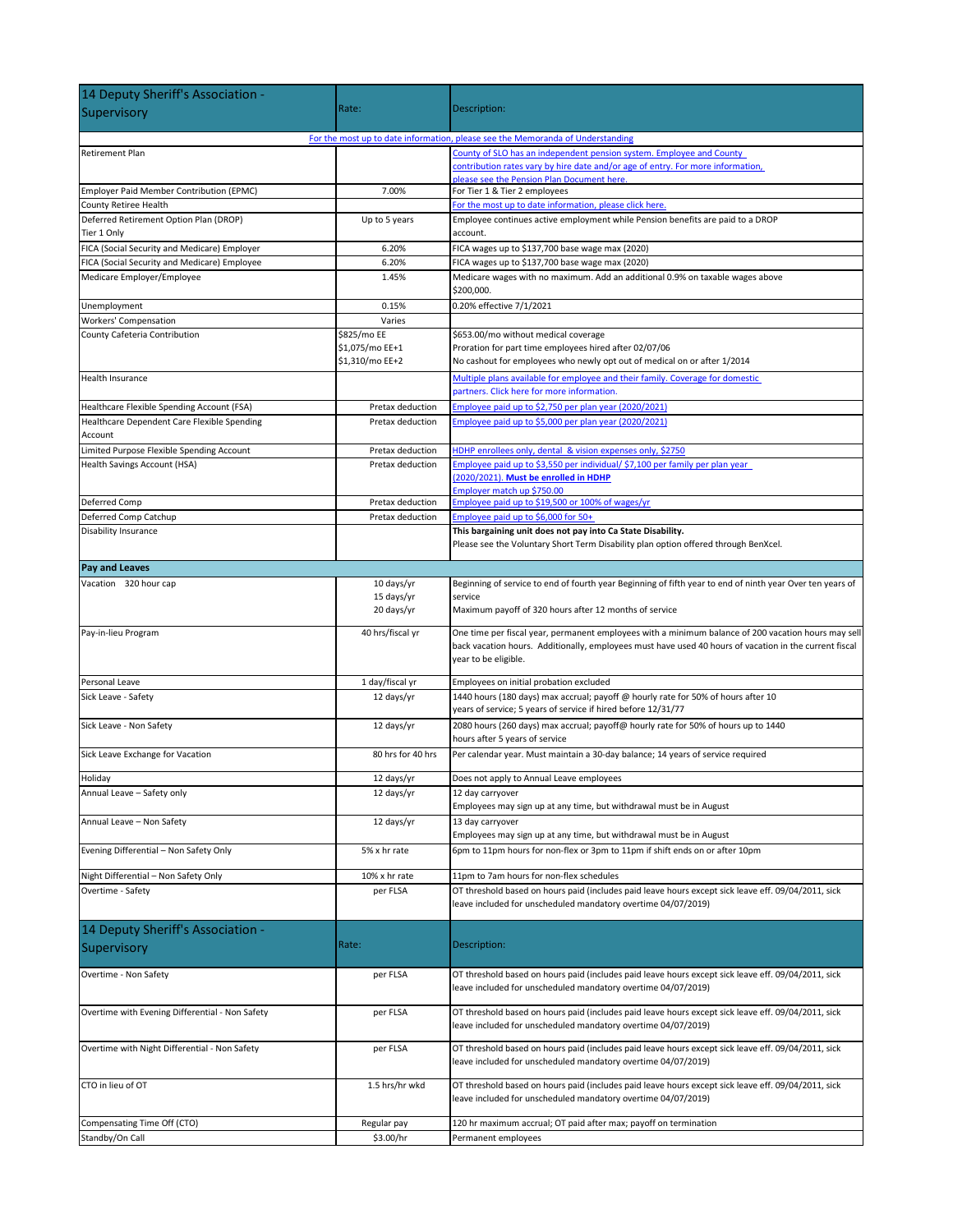| 14 Deputy Sheriff's Association -                                              |                                                   |                                                                                                                                                                                                                                       |  |
|--------------------------------------------------------------------------------|---------------------------------------------------|---------------------------------------------------------------------------------------------------------------------------------------------------------------------------------------------------------------------------------------|--|
| Supervisory                                                                    | Rate:                                             | Description:                                                                                                                                                                                                                          |  |
| For the most up to date information, please see the Memoranda of Understanding |                                                   |                                                                                                                                                                                                                                       |  |
| <b>Retirement Plan</b>                                                         |                                                   | County of SLO has an independent pension system. Employee and County<br>contribution rates vary by hire date and/or age of entry. For more information,                                                                               |  |
| Employer Paid Member Contribution (EPMC)                                       | 7.00%                                             | please see the Pension Plan Document here.<br>For Tier 1 & Tier 2 employees                                                                                                                                                           |  |
| County Retiree Health                                                          |                                                   | For the most up to date information, please click here.                                                                                                                                                                               |  |
| Deferred Retirement Option Plan (DROP)<br>Tier 1 Only                          | Up to 5 years                                     | Employee continues active employment while Pension benefits are paid to a DROP<br>account.                                                                                                                                            |  |
| FICA (Social Security and Medicare) Employer                                   | 6.20%                                             | FICA wages up to \$137,700 base wage max (2020)                                                                                                                                                                                       |  |
| FICA (Social Security and Medicare) Employee                                   | 6.20%                                             | FICA wages up to \$137,700 base wage max (2020)                                                                                                                                                                                       |  |
| Medicare Employer/Employee                                                     | 1.45%                                             | Medicare wages with no maximum. Add an additional 0.9% on taxable wages above<br>\$200,000.                                                                                                                                           |  |
| Unemployment                                                                   | 0.15%                                             | 0.20% effective 7/1/2021                                                                                                                                                                                                              |  |
| Workers' Compensation                                                          | Varies                                            |                                                                                                                                                                                                                                       |  |
| County Cafeteria Contribution                                                  | \$825/mo EE<br>\$1,075/mo EE+1<br>\$1,310/mo EE+2 | \$653.00/mo without medical coverage<br>Proration for part time employees hired after 02/07/06<br>No cashout for employees who newly opt out of medical on or after 1/2014                                                            |  |
| Health Insurance                                                               |                                                   | Multiple plans available for employee and their family. Coverage for domestic<br>partners. Click here for more information.                                                                                                           |  |
| Healthcare Flexible Spending Account (FSA)                                     | Pretax deduction                                  | Employee paid up to \$2,750 per plan year (2020/2021)                                                                                                                                                                                 |  |
| Healthcare Dependent Care Flexible Spending<br>Account                         | Pretax deduction                                  | Employee paid up to \$5,000 per plan year (2020/2021)                                                                                                                                                                                 |  |
| Limited Purpose Flexible Spending Account                                      | Pretax deduction                                  | HDHP enrollees only, dental & vision expenses only, \$2750                                                                                                                                                                            |  |
| Health Savings Account (HSA)                                                   | Pretax deduction                                  | Employee paid up to \$3,550 per individual/ \$7,100 per family per plan year<br>(2020/2021). Must be enrolled in HDHP<br>Employer match up \$750.00                                                                                   |  |
| Deferred Comp                                                                  | Pretax deduction                                  | Employee paid up to \$19,500 or 100% of wages/yr                                                                                                                                                                                      |  |
| Deferred Comp Catchup                                                          | Pretax deduction                                  | Employee paid up to \$6,000 for 50+                                                                                                                                                                                                   |  |
| <b>Disability Insurance</b>                                                    |                                                   | This bargaining unit does not pay into Ca State Disability.<br>Please see the Voluntary Short Term Disability plan option offered through BenXcel.                                                                                    |  |
| Pay and Leaves                                                                 |                                                   |                                                                                                                                                                                                                                       |  |
| Vacation 320 hour cap                                                          | 10 days/yr                                        | Beginning of service to end of fourth year Beginning of fifth year to end of ninth year Over ten years of                                                                                                                             |  |
|                                                                                | 15 days/yr<br>20 days/yr                          | service<br>Maximum payoff of 320 hours after 12 months of service                                                                                                                                                                     |  |
| Pay-in-lieu Program                                                            | 40 hrs/fiscal yr                                  | One time per fiscal year, permanent employees with a minimum balance of 200 vacation hours may sell<br>back vacation hours. Additionally, employees must have used 40 hours of vacation in the current fiscal<br>year to be eligible. |  |
| Personal Leave                                                                 | 1 day/fiscal yr                                   | Employees on initial probation excluded                                                                                                                                                                                               |  |
| Sick Leave - Safety                                                            | 12 days/yr                                        | 1440 hours (180 days) max accrual; payoff @ hourly rate for 50% of hours after 10<br>years of service; 5 years of service if hired before 12/31/77                                                                                    |  |
| Sick Leave - Non Safety                                                        | 12 days/yr                                        | 2080 hours (260 days) max accrual; payoff@ hourly rate for 50% of hours up to 1440<br>hours after 5 years of service                                                                                                                  |  |
| Sick Leave Exchange for Vacation                                               | 80 hrs for 40 hrs                                 | Per calendar year. Must maintain a 30-day balance; 14 years of service required                                                                                                                                                       |  |
| Holiday                                                                        | 12 days/yr                                        | Does not apply to Annual Leave employees                                                                                                                                                                                              |  |
| Annual Leave - Safety only                                                     | 12 days/yr                                        | 12 day carryover<br>Employees may sign up at any time, but withdrawal must be in August                                                                                                                                               |  |
| Annual Leave - Non Safety                                                      | 12 days/yr                                        | 13 day carryover<br>Employees may sign up at any time, but withdrawal must be in August                                                                                                                                               |  |
| Evening Differential - Non Safety Only                                         | 5% x hr rate                                      | 6pm to 11pm hours for non-flex or 3pm to 11pm if shift ends on or after 10pm                                                                                                                                                          |  |
| Night Differential - Non Safety Only                                           | 10% x hr rate                                     | 11pm to 7am hours for non-flex schedules                                                                                                                                                                                              |  |
| Overtime - Safety                                                              | per FLSA                                          | OT threshold based on hours paid (includes paid leave hours except sick leave eff. 09/04/2011, sick<br>leave included for unscheduled mandatory overtime 04/07/2019)                                                                  |  |
| 14 Deputy Sheriff's Association -                                              |                                                   |                                                                                                                                                                                                                                       |  |
| Supervisory                                                                    | Rate:                                             | Description:                                                                                                                                                                                                                          |  |
| Overtime - Non Safety                                                          | per FLSA                                          | OT threshold based on hours paid (includes paid leave hours except sick leave eff. 09/04/2011, sick<br>leave included for unscheduled mandatory overtime 04/07/2019)                                                                  |  |
| Overtime with Evening Differential - Non Safety                                | per FLSA                                          | OT threshold based on hours paid (includes paid leave hours except sick leave eff. 09/04/2011, sick<br>leave included for unscheduled mandatory overtime 04/07/2019)                                                                  |  |
| Overtime with Night Differential - Non Safety                                  | per FLSA                                          | OT threshold based on hours paid (includes paid leave hours except sick leave eff. 09/04/2011, sick<br>leave included for unscheduled mandatory overtime 04/07/2019)                                                                  |  |
| CTO in lieu of OT                                                              | 1.5 hrs/hr wkd                                    | OT threshold based on hours paid (includes paid leave hours except sick leave eff. 09/04/2011, sick<br>leave included for unscheduled mandatory overtime 04/07/2019)                                                                  |  |
| Compensating Time Off (CTO)                                                    | Regular pay                                       | 120 hr maximum accrual; OT paid after max; payoff on termination                                                                                                                                                                      |  |
| Standby/On Call                                                                | \$3.00/hr                                         | Permanent employees                                                                                                                                                                                                                   |  |